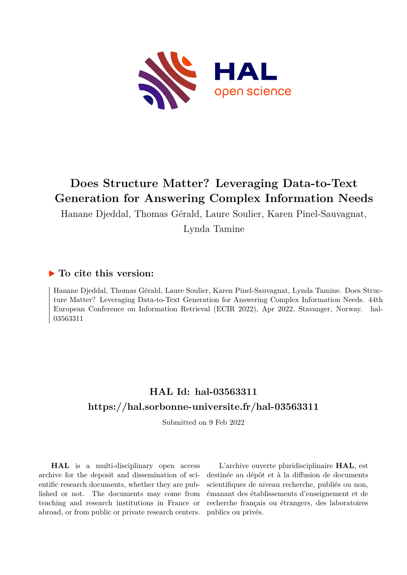

# **Does Structure Matter? Leveraging Data-to-Text Generation for Answering Complex Information Needs**

Hanane Djeddal, Thomas Gérald, Laure Soulier, Karen Pinel-Sauvagnat,

Lynda Tamine

### **To cite this version:**

Hanane Djeddal, Thomas Gérald, Laure Soulier, Karen Pinel-Sauvagnat, Lynda Tamine. Does Structure Matter? Leveraging Data-to-Text Generation for Answering Complex Information Needs. 44th European Conference on Information Retrieval (ECIR 2022), Apr 2022, Stavanger, Norway. hal-03563311

## **HAL Id: hal-03563311 <https://hal.sorbonne-universite.fr/hal-03563311>**

Submitted on 9 Feb 2022

**HAL** is a multi-disciplinary open access archive for the deposit and dissemination of scientific research documents, whether they are published or not. The documents may come from teaching and research institutions in France or abroad, or from public or private research centers.

L'archive ouverte pluridisciplinaire **HAL**, est destinée au dépôt et à la diffusion de documents scientifiques de niveau recherche, publiés ou non, émanant des établissements d'enseignement et de recherche français ou étrangers, des laboratoires publics ou privés.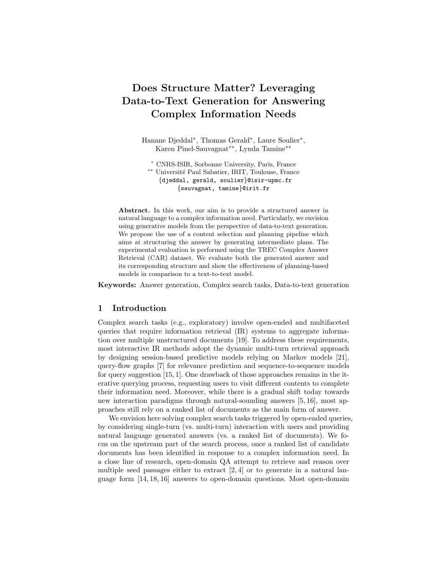## Does Structure Matter? Leveraging Data-to-Text Generation for Answering Complex Information Needs

Hanane Djeddal<sup>∗</sup> , Thomas Gerald<sup>∗</sup> , Laure Soulier<sup>∗</sup> , Karen Pinel-Sauvagnat∗∗, Lynda Tamine∗∗

<sup>∗</sup> CNRS-ISIR, Sorbonne University, Paris, France ∗∗ Universit´e Paul Sabatier, IRIT, Toulouse, France {djeddal, gerald, soulier}@isir-upmc.fr {sauvagnat, tamine}@irit.fr

Abstract. In this work, our aim is to provide a structured answer in natural language to a complex information need. Particularly, we envision using generative models from the perspective of data-to-text generation. We propose the use of a content selection and planning pipeline which aims at structuring the answer by generating intermediate plans. The experimental evaluation is performed using the TREC Complex Answer Retrieval (CAR) dataset. We evaluate both the generated answer and its corresponding structure and show the effectiveness of planning-based models in comparison to a text-to-text model.

Keywords: Answer generation, Complex search tasks, Data-to-text generation

#### 1 Introduction

Complex search tasks (e.g., exploratory) involve open-ended and multifaceted queries that require information retrieval (IR) systems to aggregate information over multiple unstructured documents [19]. To address these requirements, most interactive IR methods adopt the dynamic multi-turn retrieval approach by designing session-based predictive models relying on Markov models [21], query-flow graphs [7] for relevance prediction and sequence-to-sequence models for query suggestion [15, 1]. One drawback of those approaches remains in the iterative querying process, requesting users to visit different contents to complete their information need. Moreover, while there is a gradual shift today towards new interaction paradigms through natural-sounding answers [5, 16], most approaches still rely on a ranked list of documents as the main form of answer.

We envision here solving complex search tasks triggered by open-ended queries, by considering single-turn (vs. multi-turn) interaction with users and providing natural language generated answers (vs. a ranked list of documents). We focus on the upstream part of the search process, once a ranked list of candidate documents has been identified in response to a complex information need. In a close line of research, open-domain QA attempt to retrieve and reason over multiple seed passages either to extract [2, 4] or to generate in a natural language form [14, 18, 16] answers to open-domain questions. Most open-domain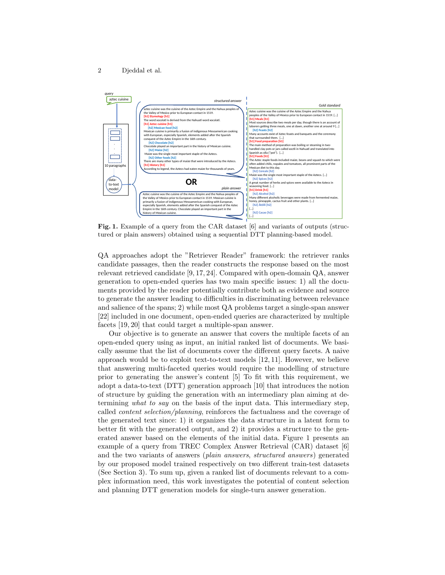#### 2 Djeddal et al.



Fig. 1. Example of a query from the CAR dataset [6] and variants of outputs (structured or plain answers) obtained using a sequential DTT planning-based model.

QA approaches adopt the "Retriever Reader" framework: the retriever ranks candidate passages, then the reader constructs the response based on the most relevant retrieved candidate [9, 17, 24]. Compared with open-domain QA, answer generation to open-ended queries has two main specific issues: 1) all the documents provided by the reader potentially contribute both as evidence and source to generate the answer leading to difficulties in discriminating between relevance and salience of the spans; 2) while most QA problems target a single-span answer [22] included in one document, open-ended queries are characterized by multiple facets [19, 20] that could target a multiple-span answer.

Our objective is to generate an answer that covers the multiple facets of an open-ended query using as input, an initial ranked list of documents. We basically assume that the list of documents cover the different query facets. A naive approach would be to exploit text-to-text models [12, 11]. However, we believe that answering multi-faceted queries would require the modelling of structure prior to generating the answer's content [5] To fit with this requirement, we adopt a data-to-text (DTT) generation approach [10] that introduces the notion of structure by guiding the generation with an intermediary plan aiming at determining what to say on the basis of the input data. This intermediary step, called content selection/planning, reinforces the factualness and the coverage of the generated text since: 1) it organizes the data structure in a latent form to better fit with the generated output, and 2) it provides a structure to the generated answer based on the elements of the initial data. Figure 1 presents an example of a query from TREC Complex Answer Retrieval (CAR) dataset [6] and the two variants of answers (plain answers, structured answers) generated by our proposed model trained respectively on two different train-test datasets (See Section 3). To sum up, given a ranked list of documents relevant to a complex information need, this work investigates the potential of content selection and planning DTT generation models for single-turn answer generation.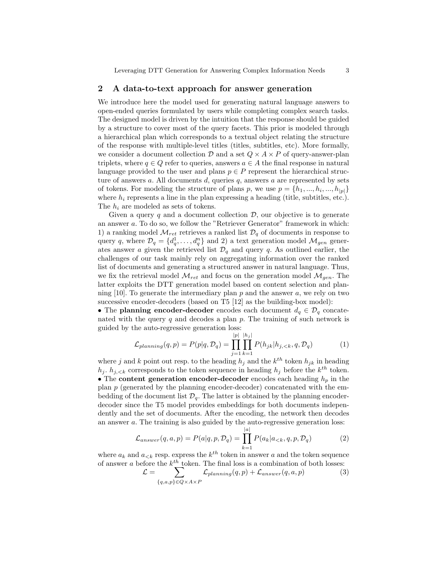Leveraging DTT Generation for Answering Complex Information Needs 3

#### 2 A data-to-text approach for answer generation

We introduce here the model used for generating natural language answers to open-ended queries formulated by users while completing complex search tasks. The designed model is driven by the intuition that the response should be guided by a structure to cover most of the query facets. This prior is modeled through a hierarchical plan which corresponds to a textual object relating the structure of the response with multiple-level titles (titles, subtitles, etc). More formally, we consider a document collection  $\mathcal D$  and a set  $Q \times A \times P$  of query-answer-plan triplets, where  $q \in Q$  refer to queries, answers  $a \in A$  the final response in natural language provided to the user and plans  $p \in P$  represent the hierarchical structure of answers  $a$ . All documents  $d$ , queries  $q$ , answers  $a$  are represented by sets of tokens. For modeling the structure of plans p, we use  $p = \{h_1, ..., h_i, ..., h_{|p|}\}\$ where  $h_i$  represents a line in the plan expressing a heading (title, subtitles, etc.). The  $h_i$  are modeled as sets of tokens.

Given a query  $q$  and a document collection  $\mathcal{D}$ , our objective is to generate an answer a. To do so, we follow the "Retriever Generator" framework in which: 1) a ranking model  $\mathcal{M}_{ret}$  retrieves a ranked list  $\mathcal{D}_q$  of documents in response to query q, where  $\mathcal{D}_q = \{d_q^1, \ldots, d_q^n\}$  and 2) a text generation model  $\mathcal{M}_{gen}$  generates answer a given the retrieved list  $\mathcal{D}_q$  and query q. As outlined earlier, the challenges of our task mainly rely on aggregating information over the ranked list of documents and generating a structured answer in natural language. Thus, we fix the retrieval model  $\mathcal{M}_{ret}$  and focus on the generation model  $\mathcal{M}_{gen}$ . The latter exploits the DTT generation model based on content selection and planning [10]. To generate the intermediary plan p and the answer a, we rely on two successive encoder-decoders (based on T5 [12] as the building-box model):

• The planning encoder-decoder encodes each document  $d_q \in \mathcal{D}_q$  concatenated with the query  $q$  and decodes a plan  $p$ . The training of such network is guided by the auto-regressive generation loss:

$$
\mathcal{L}_{planning}(q, p) = P(p|q, \mathcal{D}_q) = \prod_{j=1}^{|p|} \prod_{k=1}^{|h_j|} P(h_{jk}|h_{j, < k}, q, \mathcal{D}_q) \tag{1}
$$

where j and k point out resp. to the heading  $h_j$  and the  $k^{th}$  token  $h_{jk}$  in heading  $h_j$ .  $h_{j,\leq k}$  corresponds to the token sequence in heading  $h_j$  before the  $k^{th}$  token. • The content generation encoder-decoder encodes each heading  $h_p$  in the plan  $p$  (generated by the planning encoder-decoder) concatenated with the embedding of the document list  $\mathcal{D}_q$ . The latter is obtained by the planning encoderdecoder since the T5 model provides embeddings for both documents independently and the set of documents. After the encoding, the network then decodes an answer a. The training is also guided by the auto-regressive generation loss:

$$
\mathcal{L}_{answer}(q, a, p) = P(a|q, p, \mathcal{D}_q) = \prod_{k=1}^{|a|} P(a_k|a_{< k}, q, p, \mathcal{D}_q)
$$
\n<sup>(2)</sup>

where  $a_k$  and  $a_{< k}$  resp. express the  $k^{th}$  token in answer a and the token sequence of answer a before the  $k^{th}$  token. The final loss is a combination of both losses:

$$
\mathcal{L} = \sum_{\{q,a,p\} \in Q \times A \times P} \mathcal{L}_{planning}(q, p) + \mathcal{L}_{answer}(q, a, p) \tag{3}
$$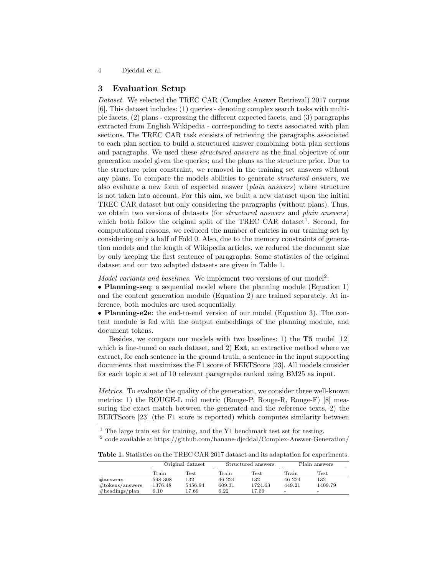4 Djeddal et al.

#### 3 Evaluation Setup

Dataset. We selected the TREC CAR (Complex Answer Retrieval) 2017 corpus [6]. This dataset includes: (1) queries - denoting complex search tasks with multiple facets, (2) plans - expressing the different expected facets, and (3) paragraphs extracted from English Wikipedia - corresponding to texts associated with plan sections. The TREC CAR task consists of retrieving the paragraphs associated to each plan section to build a structured answer combining both plan sections and paragraphs. We used these structured answers as the final objective of our generation model given the queries; and the plans as the structure prior. Due to the structure prior constraint, we removed in the training set answers without any plans. To compare the models abilities to generate structured answers, we also evaluate a new form of expected answer (plain answers) where structure is not taken into account. For this aim, we built a new dataset upon the initial TREC CAR dataset but only considering the paragraphs (without plans). Thus, we obtain two versions of datasets (for *structured answers* and *plain answers*) which both follow the original split of the TREC CAR dataset<sup>1</sup>. Second, for computational reasons, we reduced the number of entries in our training set by considering only a half of Fold 0. Also, due to the memory constraints of generation models and the length of Wikipedia articles, we reduced the document size by only keeping the first sentence of paragraphs. Some statistics of the original dataset and our two adapted datasets are given in Table 1.

Model variants and baselines. We implement two versions of our model<sup>2</sup>:

• Planning-seq: a sequential model where the planning module (Equation 1) and the content generation module (Equation 2) are trained separately. At inference, both modules are used sequentially.

• Planning-e2e: the end-to-end version of our model (Equation 3). The content module is fed with the output embeddings of the planning module, and document tokens.

Besides, we compare our models with two baselines: 1) the T5 model [12] which is fine-tuned on each dataset, and 2)  $Ext$ , an extractive method where we extract, for each sentence in the ground truth, a sentence in the input supporting documents that maximizes the F1 score of BERTScore [23]. All models consider for each topic a set of 10 relevant paragraphs ranked using BM25 as input.

Metrics. To evaluate the quality of the generation, we consider three well-known metrics: 1) the ROUGE-L mid metric (Rouge-P, Rouge-R, Rouge-F) [8] measuring the exact match between the generated and the reference texts, 2) the BERTScore [23] (the F1 score is reported) which computes similarity between

<sup>1</sup> The large train set for training, and the Y1 benchmark test set for testing.

2 code available at https://github.com/hanane-djeddal/Complex-Answer-Generation/

Table 1. Statistics on the TREC CAR 2017 dataset and its adaptation for experiments.

|                     |         | Original dataset |        | Structured answers | Plain answers |         |
|---------------------|---------|------------------|--------|--------------------|---------------|---------|
|                     | Train   | Test             | Train  | Test               | Train         | Test    |
| $\#$ answers        | 598 308 | 132              | 46 224 | 132                | 46 224        | 132     |
| $\#$ tokens/answers | 1376.48 | 5456.94          | 609.31 | 1724.63            | 449.21        | 1409.79 |
| $#heads$ /plan      | 6.10    | 17.69            | 6.22   | 17.69              | ۰             |         |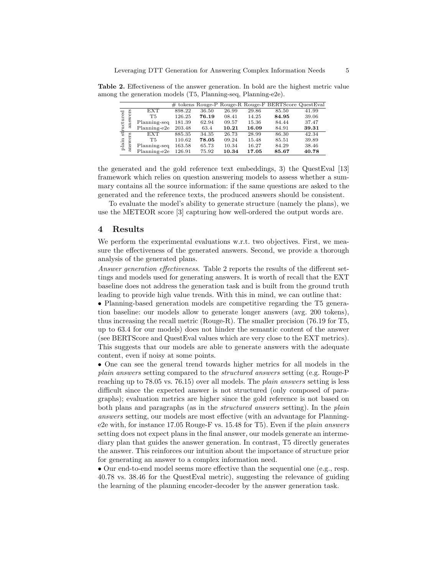|                |                  |              |        |       |       |       | $\#$ tokens Rouge-P Rouge-R Rouge-F BERTScore QuestEval |       |
|----------------|------------------|--------------|--------|-------|-------|-------|---------------------------------------------------------|-------|
| uctured        | wers<br>ans      | <b>EXT</b>   | 898.22 | 36.50 | 26.99 | 29.86 | 85.50                                                   | 41.99 |
|                |                  | T5           | 126.25 | 76.19 | 08.41 | 14.25 | 84.95                                                   | 39.06 |
|                |                  | Planning-seq | 181.39 | 62.94 | 09.57 | 15.36 | 84.44                                                   | 37.47 |
|                |                  | Planning-e2e | 203.48 | 63.4  | 10.21 | 16.09 | 84.91                                                   | 39.31 |
| र्म्न          | E3               | <b>EXT</b>   | 885.35 | 34.35 | 26.73 | 28.99 | 86.30                                                   | 42.34 |
| $_{\rm plain}$ | ξe               | T5           | 110.62 | 78.05 | 09.24 | 15.48 | 85.51                                                   | 39.89 |
|                | ans <sup>-</sup> | Planning-seq | 163.58 | 65.73 | 10.34 | 16.27 | 84.29                                                   | 38.46 |
|                |                  | Planning-e2e | 126.91 | 75.92 | 10.34 | 17.05 | 85.67                                                   | 40.78 |

Table 2. Effectiveness of the answer generation. In bold are the highest metric value among the generation models (T5, Planning-seq, Planning-e2e).

the generated and the gold reference text embeddings, 3) the QuestEval [13] framework which relies on question answering models to assess whether a summary contains all the source information: if the same questions are asked to the generated and the reference texts, the produced answers should be consistent.

To evaluate the model's ability to generate structure (namely the plans), we use the METEOR score [3] capturing how well-ordered the output words are.

#### 4 Results

We perform the experimental evaluations w.r.t. two objectives. First, we measure the effectiveness of the generated answers. Second, we provide a thorough analysis of the generated plans.

Answer generation effectiveness. Table 2 reports the results of the different settings and models used for generating answers. It is worth of recall that the EXT baseline does not address the generation task and is built from the ground truth leading to provide high value trends. With this in mind, we can outline that:

• Planning-based generation models are competitive regarding the T5 generation baseline: our models allow to generate longer answers (avg. 200 tokens), thus increasing the recall metric (Rouge-R). The smaller precision (76.19 for T5, up to 63.4 for our models) does not hinder the semantic content of the answer (see BERTScore and QuestEval values which are very close to the EXT metrics). This suggests that our models are able to generate answers with the adequate content, even if noisy at some points.

• One can see the general trend towards higher metrics for all models in the plain answers setting compared to the structured answers setting (e.g. Rouge-P reaching up to 78.05 vs. 76.15) over all models. The *plain answers* setting is less difficult since the expected answer is not structured (only composed of paragraphs); evaluation metrics are higher since the gold reference is not based on both plans and paragraphs (as in the *structured answers* setting). In the *plain* answers setting, our models are most effective (with an advantage for Planninge2e with, for instance 17.05 Rouge-F vs. 15.48 for T5). Even if the plain answers setting does not expect plans in the final answer, our models generate an intermediary plan that guides the answer generation. In contrast, T5 directly generates the answer. This reinforces our intuition about the importance of structure prior for generating an answer to a complex information need.

• Our end-to-end model seems more effective than the sequential one (e.g., resp. 40.78 vs. 38.46 for the QuestEval metric), suggesting the relevance of guiding the learning of the planning encoder-decoder by the answer generation task.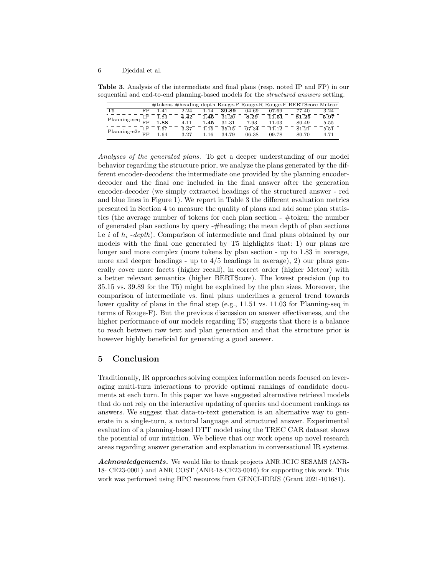6 Djeddal et al.

Table 3. Analysis of the intermediate and final plans (resp. noted IP and FP) in our sequential and end-to-end planning-based models for the structured answers setting.

|                               |     |      |      |       |       |       |       | #tokens #heading depth Rouge-P Rouge-R Rouge-F BERTScore Meteor |      |
|-------------------------------|-----|------|------|-------|-------|-------|-------|-----------------------------------------------------------------|------|
| T5                            | FP. | 1.41 | 2.24 | .14   | 39.89 | 04.69 | 07.69 | 77.40                                                           | 3.24 |
|                               | IΡ  | 1.83 | 4.42 | 1.45  | 31.20 | 8.29  | 11.51 | 81.25                                                           | 5.97 |
| Planning-seq $_{\text{FP}}^-$ |     | 1.88 | 4.11 | 1.45  | 31.31 | 7.93  | 11.03 | 80.49                                                           | 5.55 |
|                               | ΙP  | 1.57 | 3.37 | 1.15  | 35.15 | 07.34 | 11.12 | 81.21                                                           | 5.51 |
| Planning-e2e $_{\text{FP}}^-$ |     | 1.64 | 3.27 | $-16$ | 34.79 | 06.38 | 09.78 | 80.70                                                           | 4.71 |

Analyses of the generated plans. To get a deeper understanding of our model behavior regarding the structure prior, we analyze the plans generated by the different encoder-decoders: the intermediate one provided by the planning encoderdecoder and the final one included in the final answer after the generation encoder-decoder (we simply extracted headings of the structured answer - red and blue lines in Figure 1). We report in Table 3 the different evaluation metrics presented in Section 4 to measure the quality of plans and add some plan statistics (the average number of tokens for each plan section - #token; the number of generated plan sections by query -#heading; the mean depth of plan sections i.e i of  $h_i$  -depth). Comparison of intermediate and final plans obtained by our models with the final one generated by T5 highlights that: 1) our plans are longer and more complex (more tokens by plan section - up to 1.83 in average, more and deeper headings - up to  $4/5$  headings in average), 2) our plans generally cover more facets (higher recall), in correct order (higher Meteor) with a better relevant semantics (higher BERTScore). The lowest precision (up to 35.15 vs. 39.89 for the T5) might be explained by the plan sizes. Moreover, the comparison of intermediate vs. final plans underlines a general trend towards lower quality of plans in the final step (e.g., 11.51 vs. 11.03 for Planning-seq in terms of Rouge-F). But the previous discussion on answer effectiveness, and the higher performance of our models regarding T5) suggests that there is a balance to reach between raw text and plan generation and that the structure prior is however highly beneficial for generating a good answer.

#### 5 Conclusion

Traditionally, IR approaches solving complex information needs focused on leveraging multi-turn interactions to provide optimal rankings of candidate documents at each turn. In this paper we have suggested alternative retrieval models that do not rely on the interactive updating of queries and document rankings as answers. We suggest that data-to-text generation is an alternative way to generate in a single-turn, a natural language and structured answer. Experimental evaluation of a planning-based DTT model using the TREC CAR dataset shows the potential of our intuition. We believe that our work opens up novel research areas regarding answer generation and explanation in conversational IR systems.

Acknowledgements. We would like to thank projects ANR JCJC SESAMS (ANR-18- CE23-0001) and ANR COST (ANR-18-CE23-0016) for supporting this work. This work was performed using HPC resources from GENCI-IDRIS (Grant 2021-101681).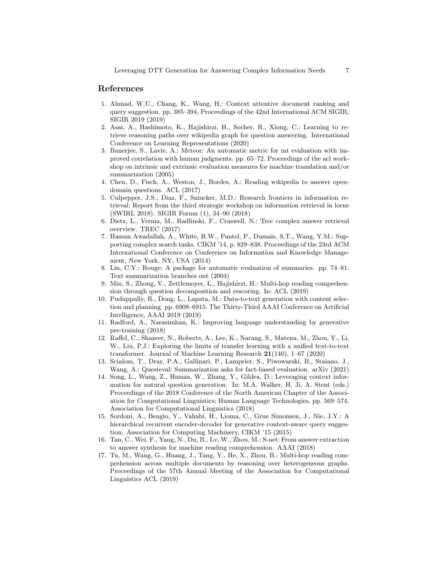#### References

- 1. Ahmad, W.U., Chang, K., Wang, H.: Context attentive document ranking and query suggestion. pp. 385–394. Proceedings of the 42nd International ACM SIGIR, SIGIR 2019 (2019)
- 2. Asai, A., Hashimoto, K., Hajishirzi, H., Socher, R., Xiong, C.: Learning to retrieve reasoning paths over wikipedia graph for question answering. International Conference on Learning Representations (2020)
- 3. Banerjee, S., Lavie, A.: Meteor: An automatic metric for mt evaluation with improved correlation with human judgments. pp. 65–72. Proceedings of the acl workshop on intrinsic and extrinsic evaluation measures for machine translation and/or summarization (2005)
- 4. Chen, D., Fisch, A., Weston, J., Bordes, A.: Reading wikipedia to answer opendomain questions. ACL (2017)
- 5. Culpepper, J.S., Diaz, F., Smucker, M.D.: Research frontiers in information retrieval: Report from the third strategic workshop on information retrieval in lorne (SWIRL 2018). SIGIR Forum (1), 34–90 (2018)
- 6. Dietz, L., Verma, M., Radlinski, F., Craswell, N.: Trec complex answer retrieval overview. TREC (2017)
- 7. Hassan Awadallah, A., White, R.W., Pantel, P., Dumais, S.T., Wang, Y.M.: Supporting complex search tasks. CIKM '14, p. 829–838. Proceedings of the 23rd ACM International Conference on Conference on Information and Knowledge Management, New York, NY, USA (2014)
- 8. Lin, C.Y.: Rouge: A package for automatic evaluation of summaries. pp. 74–81. Text summarization branches out (2004)
- 9. Min, S., Zhong, V., Zettlemoyer, L., Hajishirzi, H.: Multi-hop reading comprehension through question decomposition and rescoring. In: ACL (2019)
- 10. Puduppully, R., Dong, L., Lapata, M.: Data-to-text generation with content selection and planning. pp. 6908–6915. The Thirty-Third AAAI Conference on Artificial Intelligence, AAAI 2019 (2019)
- 11. Radford, A., Narasimhan, K.: Improving language understanding by generative pre-training (2018)
- 12. Raffel, C., Shazeer, N., Roberts, A., Lee, K., Narang, S., Matena, M., Zhou, Y., Li, W., Liu, P.J.: Exploring the limits of transfer learning with a unified text-to-text transformer. Journal of Machine Learning Research 21(140), 1–67 (2020)
- 13. Scialom, T., Dray, P.A., Gallinari, P., Lamprier, S., Piwowarski, B., Staiano, J., Wang, A.: Questeval: Summarization asks for fact-based evaluation. arXiv (2021)
- 14. Song, L., Wang, Z., Hamza, W., Zhang, Y., Gildea, D.: Leveraging context information for natural question generation. In: M.A. Walker, H. Ji, A. Stent (eds.) Proceedings of the 2018 Conference of the North American Chapter of the Association for Computational Linguistics: Human Language Technologies, pp. 569–574. Association for Computational Linguistics (2018)
- 15. Sordoni, A., Bengio, Y., Vahabi, H., Lioma, C., Grue Simonsen, J., Nie, J.Y.: A hierarchical recurrent encoder-decoder for generative context-aware query suggestion. Association for Computing Machinery, CIKM '15 (2015)
- 16. Tan, C., Wei, F., Yang, N., Du, B., Lv, W., Zhou, M.: S-net: From answer extraction to answer synthesis for machine reading comprehension. AAAI (2018)
- 17. Tu, M., Wang, G., Huang, J., Tang, Y., He, X., Zhou, B.: Multi-hop reading comprehension across multiple documents by reasoning over heterogeneous graphs. Proceedings of the 57th Annual Meeting of the Association for Computational Linguistics ACL (2019)